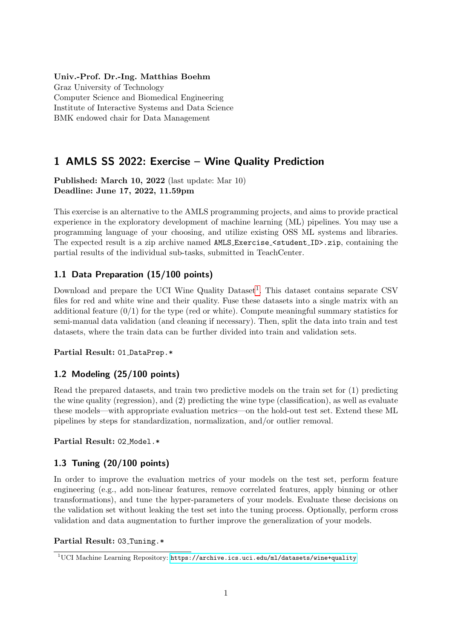### Univ.-Prof. Dr.-Ing. Matthias Boehm

Graz University of Technology Computer Science and Biomedical Engineering Institute of Interactive Systems and Data Science BMK endowed chair for Data Management

# 1 AMLS SS 2022: Exercise – Wine Quality Prediction

Published: March 10, 2022 (last update: Mar 10) Deadline: June 17, 2022, 11.59pm

This exercise is an alternative to the AMLS programming projects, and aims to provide practical experience in the exploratory development of machine learning (ML) pipelines. You may use a programming language of your choosing, and utilize existing OSS ML systems and libraries. The expected result is a zip archive named AMLS Exercise  $\leq$  student ID>.zip, containing the partial results of the individual sub-tasks, submitted in TeachCenter.

## 1.1 Data Preparation (15/100 points)

Download and prepare the UCI Wine Quality  $Dataset<sup>1</sup>$  $Dataset<sup>1</sup>$  $Dataset<sup>1</sup>$ . This dataset contains separate CSV files for red and white wine and their quality. Fuse these datasets into a single matrix with an additional feature  $(0/1)$  for the type (red or white). Compute meaningful summary statistics for semi-manual data validation (and cleaning if necessary). Then, split the data into train and test datasets, where the train data can be further divided into train and validation sets.

### Partial Result: 01 DataPrep.\*

## 1.2 Modeling (25/100 points)

Read the prepared datasets, and train two predictive models on the train set for (1) predicting the wine quality (regression), and (2) predicting the wine type (classification), as well as evaluate these models—with appropriate evaluation metrics—on the hold-out test set. Extend these ML pipelines by steps for standardization, normalization, and/or outlier removal.

### Partial Result: 02 Model.\*

## 1.3 Tuning (20/100 points)

In order to improve the evaluation metrics of your models on the test set, perform feature engineering (e.g., add non-linear features, remove correlated features, apply binning or other transformations), and tune the hyper-parameters of your models. Evaluate these decisions on the validation set without leaking the test set into the tuning process. Optionally, perform cross validation and data augmentation to further improve the generalization of your models.

#### Partial Result: 03\_Tuning.\*

<span id="page-0-0"></span> $\rm ^1UCI$  Machine Learning Repository: <https://archive.ics.uci.edu/ml/datasets/wine+quality>